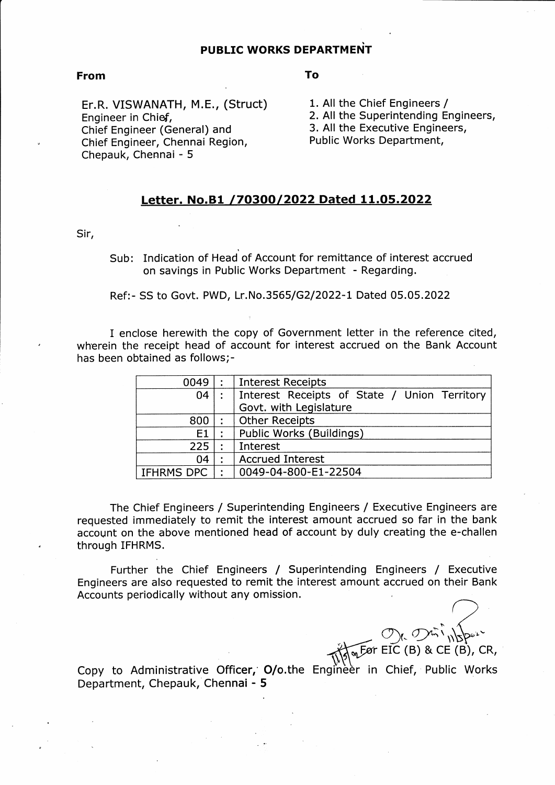## PUBLIC WORKS DEPARTMENT

## From

To

Er.R. VISWANATH, M.E., (Struct) Engineer in Chief, Chief Engineer (General) and Chief Engineer, Chennai Region, Chepauk, Chennai - 5

1, All the Chief Engineers / 2. All the Superintending Engineers, 3, All the Executive Engineers, Public Works Department,

## Letter. No.B1 /70300/2022 Dated 11.05.2022

Sir,

Sub: Indication of Head of Account for remittance of interest accrued on savings in Public Works Department - Regarding.

## Ref:- SS to Govt. PWD, Lr.No.3565/G2/2022-1 Dated 05.05.2022

I enclose herewith the copy of Government letter in the reference cited, wherein the receipt head of account for interest accrued on the Bank Account has been obtained as follows;-

| 0049       |   | <b>Interest Receipts</b>                     |
|------------|---|----------------------------------------------|
| 04         |   | Interest Receipts of State / Union Territory |
|            |   | Govt. with Legislature                       |
| 800        |   | <b>Other Receipts</b>                        |
| E1         |   | Public Works (Buildings)                     |
| 225        |   | Interest                                     |
| 04         |   | <b>Accrued Interest</b>                      |
| IFHRMS DPC | ٠ | 0049-04-800-E1-22504                         |

The Chief Engineers / Superintending Engineers / Executive Engineers are requested immediately to remit the interest amount accrued so far in the bank account on the above mentioned head of account by duly creating the e-challen through IFHRMS.

Further the Chief Engineers / Superintending Engineers / Executive Engineers are also requested to remit the interest amount accrued on their Bank Accounts periodically without any omission.

Før EIC (B) & CE (B),  $\mathcal{L}$ 

Copy to Administrative Officer, O/o.the Engineer in Chief, Public Works Department, Chepauk, Chennai - <sup>5</sup>